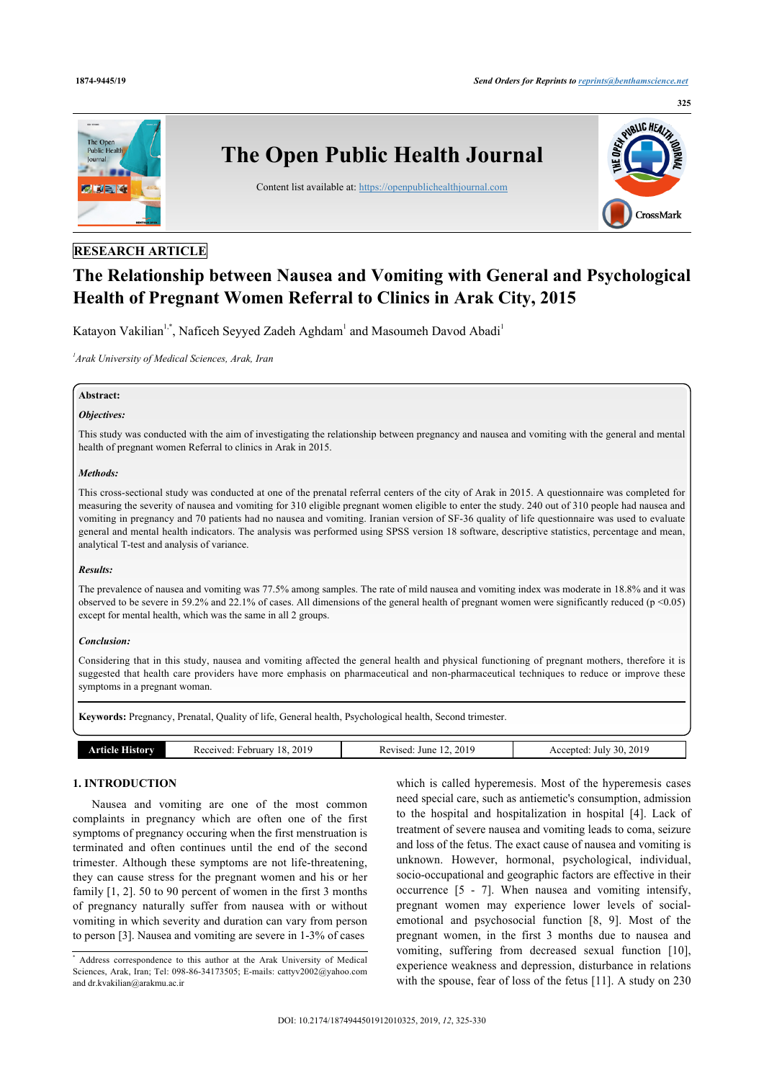

# **RESEARCH ARTICLE**

# **The Relationship between Nausea and Vomiting with General and Psychological Health of Pregnant Women Referral to Clinics in Arak City, 2015**

Katayon Vakilian<sup>[1](#page-0-0),[\\*](#page-0-1)</sup>, Naficeh Seyyed Zadeh Aghdam<sup>1</sup> and Masoumeh Davod Abadi<sup>1</sup>

<span id="page-0-0"></span>*1 Arak University of Medical Sciences, Arak, Iran*

### **Abstract:**

# *Objectives:*

This study was conducted with the aim of investigating the relationship between pregnancy and nausea and vomiting with the general and mental health of pregnant women Referral to clinics in Arak in 2015.

#### *Methods:*

This cross-sectional study was conducted at one of the prenatal referral centers of the city of Arak in 2015. A questionnaire was completed for measuring the severity of nausea and vomiting for 310 eligible pregnant women eligible to enter the study. 240 out of 310 people had nausea and vomiting in pregnancy and 70 patients had no nausea and vomiting. Iranian version of SF-36 quality of life questionnaire was used to evaluate general and mental health indicators. The analysis was performed using SPSS version 18 software, descriptive statistics, percentage and mean, analytical T-test and analysis of variance.

#### *Results:*

The prevalence of nausea and vomiting was 77.5% among samples. The rate of mild nausea and vomiting index was moderate in 18.8% and it was observed to be severe in 59.2% and 22.1% of cases. All dimensions of the general health of pregnant women were significantly reduced (p <0.05) except for mental health, which was the same in all 2 groups.

#### *Conclusion:*

Considering that in this study, nausea and vomiting affected the general health and physical functioning of pregnant mothers, therefore it is suggested that health care providers have more emphasis on pharmaceutical and non-pharmaceutical techniques to reduce or improve these symptoms in a pregnant woman.

**Keywords:** Pregnancy, Prenatal, Quality of life, General health, Psychological health, Second trimester.

| History<br>10 I A | 2019<br>.<br>ebruary<br>Received<br>18 | 2019<br>vised<br>June<br>w | . 2019<br>$\sim$ $\sim$<br>30.<br>Accepted:<br>Julv<br>nu<br>$\sim$ |
|-------------------|----------------------------------------|----------------------------|---------------------------------------------------------------------|
|                   |                                        |                            |                                                                     |

# **1. INTRODUCTION**

Nausea and vomiting are one of the most common complaints in pregnancy which are often one of the first symptoms of pregnancy occuring when the first menstruation is terminated and often continues until the end of the second trimester. Although these symptoms are not life-threatening, they can cause stress for the pregnant women and his or her family [\[1](#page-4-0), [2](#page-4-1)]. 50 to 90 percent of women in the first 3 months of pregnancy naturally suffer from nausea with or without vomiting in which severity and duration can vary from person to person [\[3\]](#page-4-2). Nausea and vomiting are severe in 1-3% of cases

which is called hyperemesis. Most of the hyperemesis cases need special care, such as antiemetic's consumption, admission to the hospital and hospitalization in hospital[[4\]](#page-4-3). Lack of treatment of severe nausea and vomiting leads to coma, seizure and loss of the fetus. The exact cause of nausea and vomiting is unknown. However, hormonal, psychological, individual, socio-occupational and geographic factors are effective in their occurrence[[5](#page-4-4) - [7\]](#page-4-5). When nausea and vomiting intensify, pregnant women may experience lower levels of socialemotional and psychosocial function [\[8,](#page-4-6) [9](#page-4-7)]. Most of the pregnant women, in the first 3 months due to nausea and vomiting, suffering from decreased sexual function[[10](#page-4-8)], experience weakness and depression, disturbance in relations with the spouse, fear of loss of the fetus [[11](#page-4-9)]. A study on 230

<span id="page-0-1"></span><sup>\*</sup> Address correspondence to this author at the Arak University of Medical Sciences, Arak, Iran; Tel: 098-86-34173505; E-mails: [cattyv2002@yahoo.com](mailto:cattyv2002@yahoo.com) and [dr.kvakilian@arakmu.ac.ir](mailto:dr.kvakilian@arakmu.ac.ir)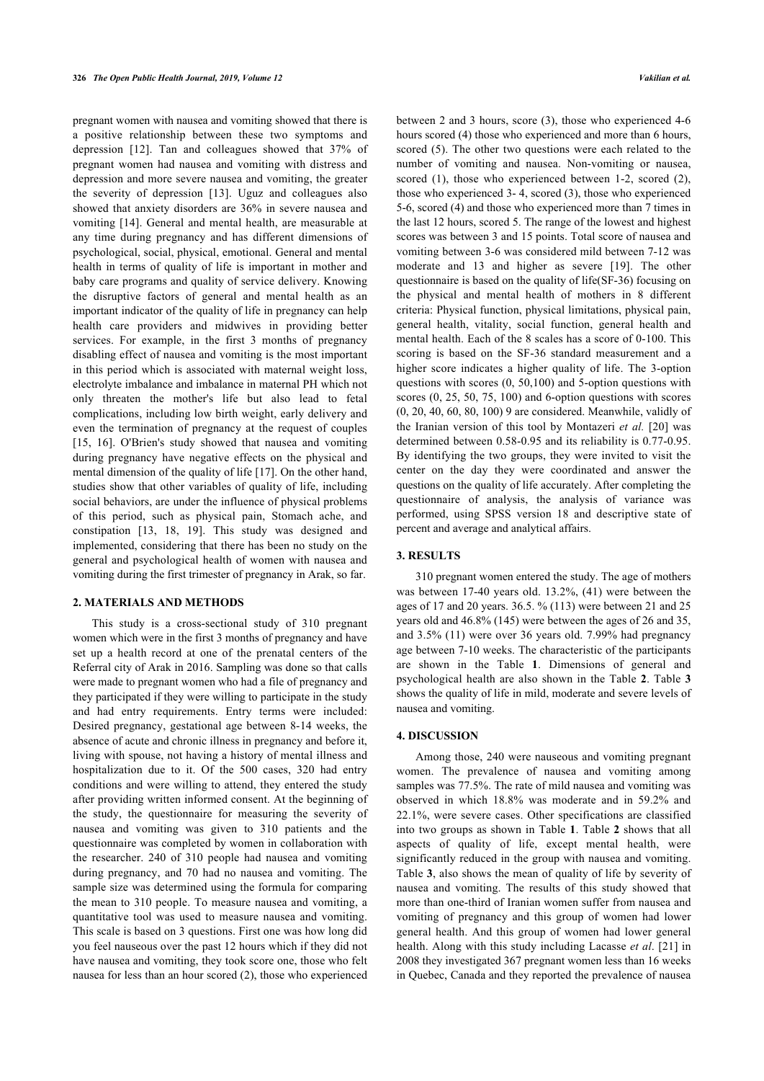pregnant women with nausea and vomiting showed that there is a positive relationship between these two symptoms and depression [\[12](#page-4-10)]. Tan and colleagues showed that 37% of pregnant women had nausea and vomiting with distress and depression and more severe nausea and vomiting, the greater the severity of depression [\[13](#page-4-11)]. Uguz and colleagues also showed that anxiety disorders are 36% in severe nausea and vomiting [\[14\]](#page-4-12). General and mental health, are measurable at any time during pregnancy and has different dimensions of psychological, social, physical, emotional. General and mental health in terms of quality of life is important in mother and baby care programs and quality of service delivery. Knowing the disruptive factors of general and mental health as an important indicator of the quality of life in pregnancy can help health care providers and midwives in providing better services. For example, in the first 3 months of pregnancy disabling effect of nausea and vomiting is the most important in this period which is associated with maternal weight loss, electrolyte imbalance and imbalance in maternal PH which not only threaten the mother's life but also lead to fetal complications, including low birth weight, early delivery and even the termination of pregnancy at the request of couples [[15,](#page-4-13) [16\]](#page-4-14). O'Brien's study showed that nausea and vomiting during pregnancy have negative effects on the physical and mental dimension of the quality of life [[17](#page-4-15)]. On the other hand, studies show that other variables of quality of life, including social behaviors, are under the influence of physical problems of this period, such as physical pain, Stomach ache, and constipation[[13](#page-4-11), [18](#page-4-16), [19\]](#page-4-17). This study was designed and implemented, considering that there has been no study on the general and psychological health of women with nausea and vomiting during the first trimester of pregnancy in Arak, so far.

### **2. MATERIALS AND METHODS**

This study is a cross-sectional study of 310 pregnant women which were in the first 3 months of pregnancy and have set up a health record at one of the prenatal centers of the Referral city of Arak in 2016. Sampling was done so that calls were made to pregnant women who had a file of pregnancy and they participated if they were willing to participate in the study and had entry requirements. Entry terms were included: Desired pregnancy, gestational age between 8-14 weeks, the absence of acute and chronic illness in pregnancy and before it, living with spouse, not having a history of mental illness and hospitalization due to it. Of the 500 cases, 320 had entry conditions and were willing to attend, they entered the study after providing written informed consent. At the beginning of the study, the questionnaire for measuring the severity of nausea and vomiting was given to 310 patients and the questionnaire was completed by women in collaboration with the researcher. 240 of 310 people had nausea and vomiting during pregnancy, and 70 had no nausea and vomiting. The sample size was determined using the formula for comparing the mean to 310 people. To measure nausea and vomiting, a quantitative tool was used to measure nausea and vomiting. This scale is based on 3 questions. First one was how long did you feel nauseous over the past 12 hours which if they did not have nausea and vomiting, they took score one, those who felt nausea for less than an hour scored (2), those who experienced

between 2 and 3 hours, score (3), those who experienced 4-6 hours scored (4) those who experienced and more than 6 hours, scored (5). The other two questions were each related to the number of vomiting and nausea. Non-vomiting or nausea, scored (1), those who experienced between 1-2, scored (2), those who experienced 3- 4, scored (3), those who experienced 5-6, scored (4) and those who experienced more than 7 times in the last 12 hours, scored 5. The range of the lowest and highest scores was between 3 and 15 points. Total score of nausea and vomiting between 3-6 was considered mild between 7-12 was moderate and 13 and higher as severe[[19](#page-4-17)]. The other questionnaire is based on the quality of life(SF-36) focusing on the physical and mental health of mothers in 8 different criteria: Physical function, physical limitations, physical pain, general health, vitality, social function, general health and mental health. Each of the 8 scales has a score of 0-100. This scoring is based on the SF-36 standard measurement and a higher score indicates a higher quality of life. The 3-option questions with scores (0, 50,100) and 5-option questions with scores (0, 25, 50, 75, 100) and 6-option questions with scores (0, 20, 40, 60, 80, 100) 9 are considered. Meanwhile, validly of the Iranian version of this tool by Montazeri *et al.* [[20\]](#page-4-18) was determined between 0.58-0.95 and its reliability is 0.77-0.95. By identifying the two groups, they were invited to visit the center on the day they were coordinated and answer the questions on the quality of life accurately. After completing the questionnaire of analysis, the analysis of variance was performed, using SPSS version 18 and descriptive state of percent and average and analytical affairs.

# **3. RESULTS**

310 pregnant women entered the study. The age of mothers was between 17-40 years old. 13.2%, (41) were between the ages of 17 and 20 years. 36.5. % (113) were between 21 and 25 years old and 46.8% (145) were between the ages of 26 and 35, and 3.5% (11) were over 36 years old. 7.99% had pregnancy age between 7-10 weeks. The characteristic of the participants are shown in the Table**1**. Dimensions of general and psychological health are also shown in the Table **[2](#page-2-1)**. Table **[3](#page-2-2)** shows the quality of life in mild, moderate and severe levels of nausea and vomiting.

#### **4. DISCUSSION**

Among those, 240 were nauseous and vomiting pregnant women. The prevalence of nausea and vomiting among samples was 77.5%. The rate of mild nausea and vomiting was observed in which 18.8% was moderate and in 59.2% and 22.1%, were severe cases. Other specifications are classified into two groups as shown in Table **[1](#page-2-0)**. Table **[2](#page-2-1)** shows that all aspects of quality of life, except mental health, were significantly reduced in the group with nausea and vomiting. Table **[3](#page-2-2)**, also shows the mean of quality of life by severity of nausea and vomiting. The results of this study showed that more than one-third of Iranian women suffer from nausea and vomiting of pregnancy and this group of women had lower general health. And this group of women had lower general health. Along with this study including Lacasse *et al*. [\[21](#page-4-19)] in 2008 they investigated 367 pregnant women less than 16 weeks in Quebec, Canada and they reported the prevalence of nausea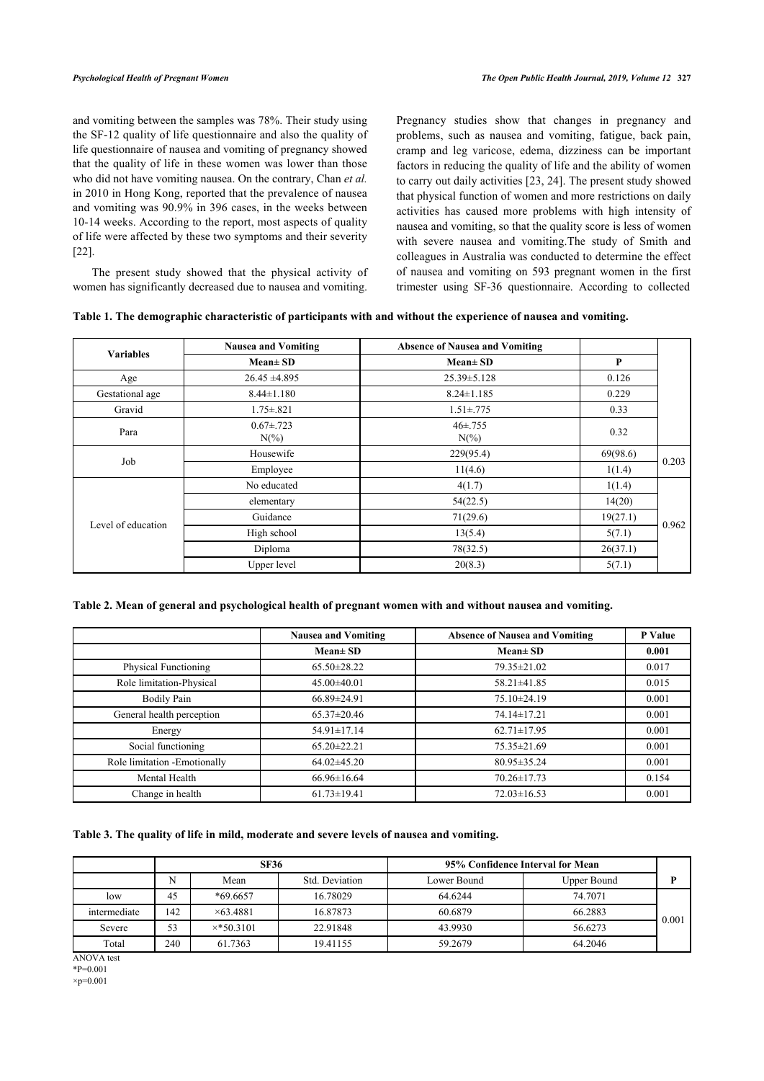and vomiting between the samples was 78%. Their study using the SF-12 quality of life questionnaire and also the quality of life questionnaire of nausea and vomiting of pregnancy showed that the quality of life in these women was lower than those who did not have vomiting nausea. On the contrary, Chan *et al.* in 2010 in Hong Kong, reported that the prevalence of nausea and vomiting was 90.9% in 396 cases, in the weeks between 10-14 weeks. According to the report, most aspects of quality of life were affected by these two symptoms and their severity [[22\]](#page-4-20).

The present study showed that the physical activity of women has significantly decreased due to nausea and vomiting.

Pregnancy studies show that changes in pregnancy and problems, such as nausea and vomiting, fatigue, back pain, cramp and leg varicose, edema, dizziness can be important factors in reducing the quality of life and the ability of women to carry out daily activities [[23,](#page-4-21) [24\]](#page-4-22). The present study showed that physical function of women and more restrictions on daily activities has caused more problems with high intensity of nausea and vomiting, so that the quality score is less of women with severe nausea and vomiting.The study of Smith and colleagues in Australia was conducted to determine the effect of nausea and vomiting on 593 pregnant women in the first trimester using SF-36 questionnaire. According to collected

<span id="page-2-0"></span>

|  |  |  | Table 1. The demographic characteristic of participants with and without the experience of nausea and vomiting. |
|--|--|--|-----------------------------------------------------------------------------------------------------------------|
|  |  |  |                                                                                                                 |
|  |  |  |                                                                                                                 |

| <b>Variables</b>   | <b>Nausea and Vomiting</b>  | <b>Absence of Nausea and Vomiting</b> |          |       |
|--------------------|-----------------------------|---------------------------------------|----------|-------|
|                    | $Mean \pm SD$               | $Mean \pm SD$                         | P        |       |
| Age                | $26.45 \pm 4.895$           | 25.39 ± 5.128                         | 0.126    |       |
| Gestational age    | $8.44 \pm 1.180$            | $8.24 \pm 1.185$                      | 0.229    |       |
| Gravid             | $1.75 \pm .821$             | $1.51 \pm .775$                       | 0.33     |       |
| Para               | $0.67 \pm 0.723$<br>$N(\%)$ | $46 \pm 755$<br>$N(\%)$               | 0.32     |       |
| Job                | Housewife                   | 229(95.4)                             | 69(98.6) | 0.203 |
|                    | Employee                    | 11(4.6)                               | 1(1.4)   |       |
|                    | No educated                 | 4(1.7)                                | 1(1.4)   |       |
|                    | elementary                  | 54(22.5)                              | 14(20)   |       |
| Level of education | Guidance                    | 71(29.6)                              | 19(27.1) | 0.962 |
|                    | High school                 | 13(5.4)                               | 5(7.1)   |       |
|                    | Diploma                     | 78(32.5)                              | 26(37.1) |       |
|                    | Upper level                 | 20(8.3)                               | 5(7.1)   |       |

<span id="page-2-1"></span>

|  |  | Table 2. Mean of general and psychological health of pregnant women with and without nausea and vomiting. |
|--|--|-----------------------------------------------------------------------------------------------------------|
|--|--|-----------------------------------------------------------------------------------------------------------|

|                               | <b>Nausea and Vomiting</b> | <b>Absence of Nausea and Vomiting</b> | P Value |
|-------------------------------|----------------------------|---------------------------------------|---------|
|                               | $Mean \pm SD$              | $Mean \pm SD$                         | 0.001   |
| <b>Physical Functioning</b>   | $65.50 \pm 28.22$          | 79.35±21.02                           | 0.017   |
| Role limitation-Physical      | $45.00 \pm 40.01$          | 58.21±41.85                           | 0.015   |
| <b>Bodily Pain</b>            | $66.89 \pm 24.91$          | $75.10\pm24.19$                       | 0.001   |
| General health perception     | $65.37 \pm 20.46$          | 74.14±17.21                           | 0.001   |
| Energy                        | $54.91 \pm 17.14$          | $62.71 \pm 17.95$                     | 0.001   |
| Social functioning            | $65.20 \pm 22.21$          | $75.35 \pm 21.69$                     | 0.001   |
| Role limitation - Emotionally | $64.02\pm45.20$            | $80.95 \pm 35.24$                     | 0.001   |
| Mental Health                 | $66.96 \pm 16.64$          | $70.26 \pm 17.73$                     | 0.154   |
| Change in health              | $61.73 \pm 19.41$          | $72.03 \pm 16.53$                     | 0.001   |

# <span id="page-2-2"></span>**Table 3. The quality of life in mild, moderate and severe levels of nausea and vomiting.**

|              | <b>SF36</b> |                   |                | 95% Confidence Interval for Mean |                    |       |
|--------------|-------------|-------------------|----------------|----------------------------------|--------------------|-------|
|              | N           | Mean              | Std. Deviation | Lower Bound                      | <b>Upper Bound</b> |       |
| low          | 45          | $*69.6657$        | 16.78029       | 64.6244                          | 74.7071            |       |
| intermediate | 142         | $\times$ 63.4881  | 16.87873       | 60.6879                          | 66.2883            | 0.001 |
| Severe       | 53          | $\times$ *50.3101 | 22.91848       | 43.9930                          | 56.6273            |       |
| Total        | 240         | 61.7363           | 19.41155       | 59.2679                          | 64.2046            |       |

ANOVA test

\*P=0.001  $\times p=0.001$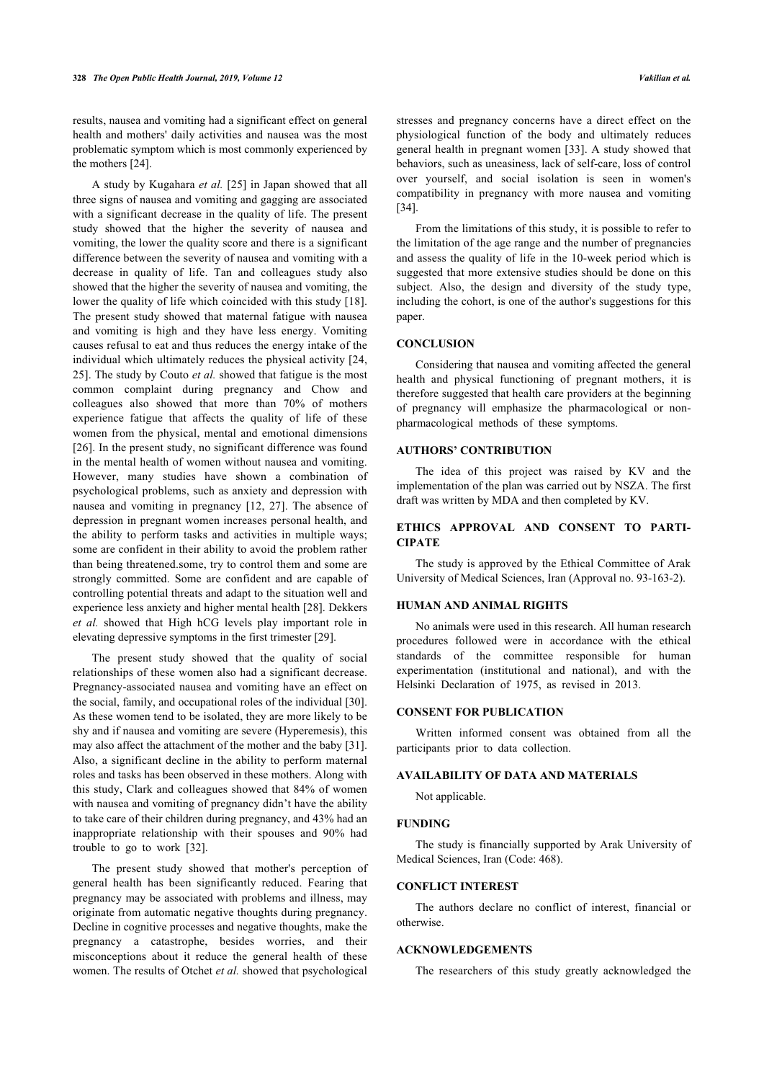results, nausea and vomiting had a significant effect on general health and mothers' daily activities and nausea was the most problematic symptom which is most commonly experienced by the mothers [\[24](#page-4-22)].

A study by Kugahara *et al.* [[25](#page-4-23)] in Japan showed that all three signs of nausea and vomiting and gagging are associated with a significant decrease in the quality of life. The present study showed that the higher the severity of nausea and vomiting, the lower the quality score and there is a significant difference between the severity of nausea and vomiting with a decrease in quality of life. Tan and colleagues study also showed that the higher the severity of nausea and vomiting, the lower the quality of life which coincided with this study [[18\]](#page-4-16). The present study showed that maternal fatigue with nausea and vomiting is high and they have less energy. Vomiting causes refusal to eat and thus reduces the energy intake of the individual which ultimately reduces the physical activity [[24](#page-4-22), [25\]](#page-4-23). The study by Couto *et al.* showed that fatigue is the most common complaint during pregnancy and Chow and colleagues also showed that more than 70% of mothers experience fatigue that affects the quality of life of these women from the physical, mental and emotional dimensions [[26\]](#page-4-24). In the present study, no significant difference was found in the mental health of women without nausea and vomiting. However, many studies have shown a combination of psychological problems, such as anxiety and depression with nausea and vomiting in pregnancy[[12](#page-4-10), [27](#page-4-25)]. The absence of depression in pregnant women increases personal health, and the ability to perform tasks and activities in multiple ways; some are confident in their ability to avoid the problem rather than being threatened.some, try to control them and some are strongly committed. Some are confident and are capable of controlling potential threats and adapt to the situation well and experience less anxiety and higher mental health [\[28](#page-4-26)]. Dekkers *et al.* showed that High hCG levels play important role in elevating depressive symptoms in the first trimester [[29\]](#page-4-27).

The present study showed that the quality of social relationships of these women also had a significant decrease. Pregnancy-associated nausea and vomiting have an effect on the social, family, and occupational roles of the individual [\[30](#page-4-28)]. As these women tend to be isolated, they are more likely to be shy and if nausea and vomiting are severe (Hyperemesis), this may also affect the attachment of the mother and the baby [\[31](#page-4-29)]. Also, a significant decline in the ability to perform maternal roles and tasks has been observed in these mothers. Along with this study, Clark and colleagues showed that 84% of women with nausea and vomiting of pregnancy didn't have the ability to take care of their children during pregnancy, and 43% had an inappropriate relationship with their spouses and 90% had trouble to go to work[[32\]](#page-4-30).

The present study showed that mother's perception of general health has been significantly reduced. Fearing that pregnancy may be associated with problems and illness, may originate from automatic negative thoughts during pregnancy. Decline in cognitive processes and negative thoughts, make the pregnancy a catastrophe, besides worries, and their misconceptions about it reduce the general health of these women. The results of Otchet *et al.* showed that psychological

stresses and pregnancy concerns have a direct effect on the physiological function of the body and ultimately reduces general health in pregnant women [\[33\]](#page-4-31). A study showed that behaviors, such as uneasiness, lack of self-care, loss of control over yourself, and social isolation is seen in women's compatibility in pregnancy with more nausea and vomiting [[34\]](#page-5-0).

From the limitations of this study, it is possible to refer to the limitation of the age range and the number of pregnancies and assess the quality of life in the 10-week period which is suggested that more extensive studies should be done on this subject. Also, the design and diversity of the study type, including the cohort, is one of the author's suggestions for this paper.

# **CONCLUSION**

Considering that nausea and vomiting affected the general health and physical functioning of pregnant mothers, it is therefore suggested that health care providers at the beginning of pregnancy will emphasize the pharmacological or nonpharmacological methods of these symptoms.

#### **AUTHORS' CONTRIBUTION**

The idea of this project was raised by KV and the implementation of the plan was carried out by NSZA. The first draft was written by MDA and then completed by KV.

# **ETHICS APPROVAL AND CONSENT TO PARTI-CIPATE**

The study is approved by the Ethical Committee of Arak University of Medical Sciences, Iran (Approval no. 93-163-2).

#### **HUMAN AND ANIMAL RIGHTS**

No animals were used in this research. All human research procedures followed were in accordance with the ethical standards of the committee responsible for human experimentation (institutional and national), and with the Helsinki Declaration of 1975, as revised in 2013.

### **CONSENT FOR PUBLICATION**

Written informed consent was obtained from all the participants prior to data collection.

#### **AVAILABILITY OF DATA AND MATERIALS**

Not applicable.

#### **FUNDING**

The study is financially supported by Arak University of Medical Sciences, Iran (Code: 468).

#### **CONFLICT INTEREST**

The authors declare no conflict of interest, financial or otherwise.

# **ACKNOWLEDGEMENTS**

The researchers of this study greatly acknowledged the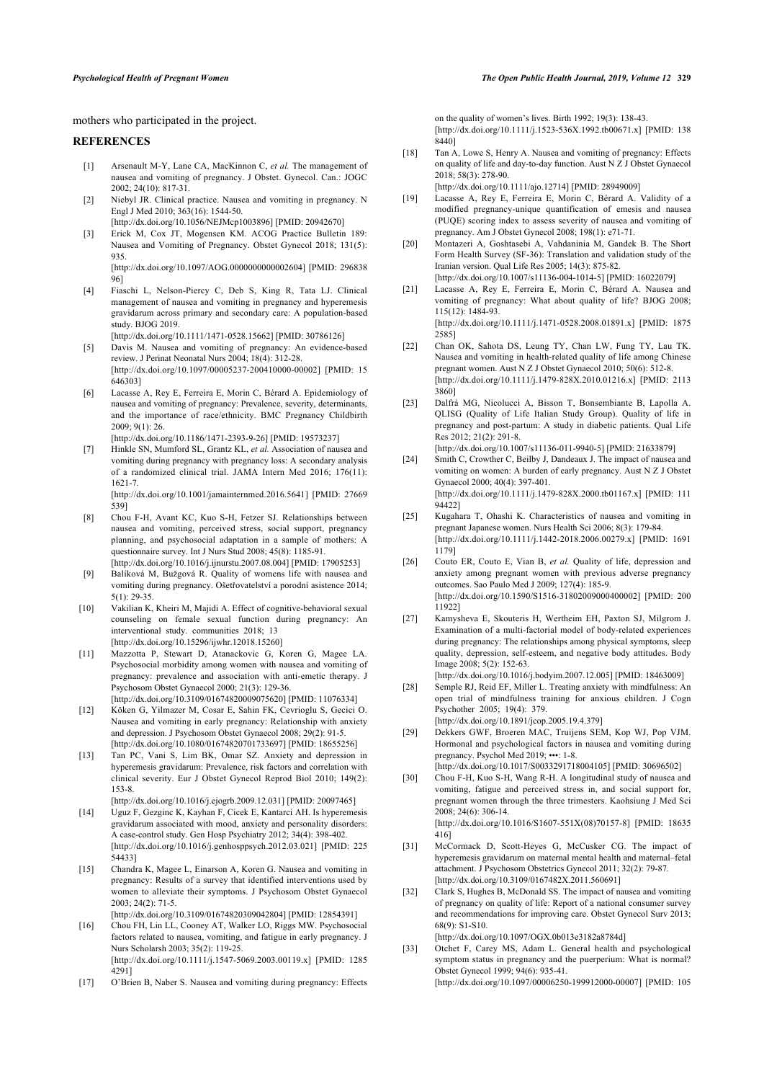mothers who participated in the project.

#### <span id="page-4-16"></span><span id="page-4-0"></span>**REFERENCES**

- [1] Arsenault M-Y, Lane CA, MacKinnon C, *et al.* The management of nausea and vomiting of pregnancy. J Obstet. Gynecol. Can.: JOGC 2002; 24(10): 817-31.
- <span id="page-4-17"></span><span id="page-4-1"></span>[2] Niebyl JR. Clinical practice. Nausea and vomiting in pregnancy. N Engl J Med 2010; 363(16): 1544-50. [\[http://dx.doi.org/10.1056/NEJMcp1003896\]](http://dx.doi.org/10.1056/NEJMcp1003896) [PMID: [20942670](http://www.ncbi.nlm.nih.gov/pubmed/20942670)]
- <span id="page-4-18"></span><span id="page-4-2"></span>[3] Erick M, Cox JT, Mogensen KM. ACOG Practice Bulletin 189: Nausea and Vomiting of Pregnancy. Obstet Gynecol 2018; 131(5): 935.

[\[http://dx.doi.org/10.1097/AOG.0000000000002604\]](http://dx.doi.org/10.1097/AOG.0000000000002604) [PMID: [296838](http://www.ncbi.nlm.nih.gov/pubmed/296838%2096) [96\]](http://www.ncbi.nlm.nih.gov/pubmed/296838%2096)

- <span id="page-4-19"></span><span id="page-4-3"></span>[4] Fiaschi L, Nelson-Piercy C, Deb S, King R, Tata LJ. Clinical management of nausea and vomiting in pregnancy and hyperemesis gravidarum across primary and secondary care: A population-based study. BIOG 2019.
- <span id="page-4-20"></span><span id="page-4-4"></span>[\[http://dx.doi.org/10.1111/1471-0528.15662\]](http://dx.doi.org/10.1111/1471-0528.15662) [PMID: [30786126](http://www.ncbi.nlm.nih.gov/pubmed/30786126)] [5] Davis M. Nausea and vomiting of pregnancy: An evidence-based

review. J Perinat Neonatal Nurs 2004; 18(4): 312-28. [\[http://dx.doi.org/10.1097/00005237-200410000-00002](http://dx.doi.org/10.1097/00005237-200410000-00002)] [PMID: [15](http://www.ncbi.nlm.nih.gov/pubmed/15%20646303) [646303\]](http://www.ncbi.nlm.nih.gov/pubmed/15%20646303)

<span id="page-4-21"></span>[6] Lacasse A, Rey E, Ferreira E, Morin C, Bérard A. Epidemiology of nausea and vomiting of pregnancy: Prevalence, severity, determinants, and the importance of race/ethnicity. BMC Pregnancy Childbirth 2009; 9(1): 26.

[\[http://dx.doi.org/10.1186/1471-2393-9-26\]](http://dx.doi.org/10.1186/1471-2393-9-26) [PMID: [19573237](http://www.ncbi.nlm.nih.gov/pubmed/19573237)]

<span id="page-4-22"></span><span id="page-4-5"></span>[7] Hinkle SN, Mumford SL, Grantz KL, *et al.* Association of nausea and vomiting during pregnancy with pregnancy loss: A secondary analysis of a randomized clinical trial. JAMA Intern Med 2016; 176(11): 1621-7. [\[http://dx.doi.org/10.1001/jamainternmed.2016.5641\]](http://dx.doi.org/10.1001/jamainternmed.2016.5641) [PMID: [27669](http://www.ncbi.nlm.nih.gov/pubmed/27669%20539)

[539](http://www.ncbi.nlm.nih.gov/pubmed/27669%20539)]

- <span id="page-4-23"></span><span id="page-4-6"></span>[8] Chou F-H, Avant KC, Kuo S-H, Fetzer SJ. Relationships between nausea and vomiting, perceived stress, social support, pregnancy planning, and psychosocial adaptation in a sample of mothers: A questionnaire survey. Int J Nurs Stud 2008; 45(8): 1185-91. [\[http://dx.doi.org/10.1016/j.ijnurstu.2007.08.004](http://dx.doi.org/10.1016/j.ijnurstu.2007.08.004)] [PMID: [17905253\]](http://www.ncbi.nlm.nih.gov/pubmed/17905253)
- <span id="page-4-24"></span><span id="page-4-7"></span>[9] Balíková M, Bužgová R. Quality of womens life with nausea and vomiting during pregnancy. Ošetřovatelství a porodní asistence 2014; 5(1): 29-35.
- <span id="page-4-25"></span><span id="page-4-8"></span>[10] Vakilian K, Kheiri M, Majidi A. Effect of cognitive-behavioral sexual counseling on female sexual function during pregnancy: An interventional study. communities 2018; 13 [\[http://dx.doi.org/10.15296/ijwhr.12018.15260\]](http://dx.doi.org/10.15296/ijwhr.12018.15260)
- <span id="page-4-9"></span>[11] Mazzotta P, Stewart D, Atanackovic G, Koren G, Magee LA. Psychosocial morbidity among women with nausea and vomiting of pregnancy: prevalence and association with anti-emetic therapy. J Psychosom Obstet Gynaecol 2000; 21(3): 129-36. [\[http://dx.doi.org/10.3109/01674820009075620\]](http://dx.doi.org/10.3109/01674820009075620) [PMID: [11076334](http://www.ncbi.nlm.nih.gov/pubmed/11076334)]
- <span id="page-4-26"></span><span id="page-4-10"></span>[12] Köken G, Yilmazer M, Cosar E, Sahin FK, Cevrioglu S, Gecici O. Nausea and vomiting in early pregnancy: Relationship with anxiety
- <span id="page-4-27"></span>and depression. J Psychosom Obstet Gynaecol 2008; 29(2): 91-5. [\[http://dx.doi.org/10.1080/01674820701733697\]](http://dx.doi.org/10.1080/01674820701733697) [PMID: [18655256](http://www.ncbi.nlm.nih.gov/pubmed/18655256)]
- <span id="page-4-28"></span><span id="page-4-11"></span>[13] Tan PC, Vani S, Lim BK, Omar SZ. Anxiety and depression in hyperemesis gravidarum: Prevalence, risk factors and correlation with clinical severity. Eur J Obstet Gynecol Reprod Biol 2010; 149(2): 153-8. [\[http://dx.doi.org/10.1016/j.ejogrb.2009.12.031\]](http://dx.doi.org/10.1016/j.ejogrb.2009.12.031) [PMID: [20097465](http://www.ncbi.nlm.nih.gov/pubmed/20097465)]
- <span id="page-4-12"></span>[14] Uguz F, Gezginc K, Kayhan F, Cicek E, Kantarci AH. Is hyperemesis gravidarum associated with mood, anxiety and personality disorders:
- <span id="page-4-29"></span>A case-control study. Gen Hosp Psychiatry 2012; 34(4): 398-402. [\[http://dx.doi.org/10.1016/j.genhosppsych.2012.03.021\]](http://dx.doi.org/10.1016/j.genhosppsych.2012.03.021) [PMID: [225](http://www.ncbi.nlm.nih.gov/pubmed/225%2054433) [54433](http://www.ncbi.nlm.nih.gov/pubmed/225%2054433)]
- <span id="page-4-30"></span><span id="page-4-13"></span>[15] Chandra K, Magee L, Einarson A, Koren G. Nausea and vomiting in pregnancy: Results of a survey that identified interventions used by women to alleviate their symptoms. J Psychosom Obstet Gynaecol 2003; 24(2): 71-5.

[\[http://dx.doi.org/10.3109/01674820309042804\]](http://dx.doi.org/10.3109/01674820309042804) [PMID: [12854391](http://www.ncbi.nlm.nih.gov/pubmed/12854391)]

<span id="page-4-31"></span><span id="page-4-14"></span>[16] Chou FH, Lin LL, Cooney AT, Walker LO, Riggs MW. Psychosocial factors related to nausea, vomiting, and fatigue in early pregnancy. J Nurs Scholarsh 2003; 35(2): 119-25. [\[http://dx.doi.org/10.1111/j.1547-5069.2003.00119.x](http://dx.doi.org/10.1111/j.1547-5069.2003.00119.x)] [PMID: [1285](http://www.ncbi.nlm.nih.gov/pubmed/1285%204291)

<span id="page-4-15"></span>[17] O'Brien B, Naber S. Nausea and vomiting during pregnancy: Effects

[4291\]](http://www.ncbi.nlm.nih.gov/pubmed/1285%204291)

on the quality of women's lives. Birth 1992; 19(3): 138-43. [\[http://dx.doi.org/10.1111/j.1523-536X.1992.tb00671.x\]](http://dx.doi.org/10.1111/j.1523-536X.1992.tb00671.x) [PMID: [138](http://www.ncbi.nlm.nih.gov/pubmed/138%208440)  $8440$ ]

[18] Tan A, Lowe S, Henry A. Nausea and vomiting of pregnancy: Effects on quality of life and day-to-day function. Aust N Z J Obstet Gynaecol 2018; 58(3): 278-90.

[\[http://dx.doi.org/10.1111/ajo.12714](http://dx.doi.org/10.1111/ajo.12714)] [PMID: [28949009\]](http://www.ncbi.nlm.nih.gov/pubmed/28949009)

- [19] Lacasse A, Rey E, Ferreira E, Morin C, Bérard A. Validity of a modified pregnancy-unique quantification of emesis and nausea (PUQE) scoring index to assess severity of nausea and vomiting of pregnancy. Am J Obstet Gynecol 2008; 198(1): e71-71.
- [20] Montazeri A, Goshtasebi A, Vahdaninia M, Gandek B. The Short Form Health Survey (SF-36): Translation and validation study of the Iranian version. Qual Life Res 2005; 14(3): 875-82. [\[http://dx.doi.org/10.1007/s11136-004-1014-5\]](http://dx.doi.org/10.1007/s11136-004-1014-5) [PMID: [16022079](http://www.ncbi.nlm.nih.gov/pubmed/16022079)]
- [21] Lacasse A, Rey E, Ferreira E, Morin C, Bérard A. Nausea and vomiting of pregnancy: What about quality of life? BJOG 2008; 115(12): 1484-93. [\[http://dx.doi.org/10.1111/j.1471-0528.2008.01891.x](http://dx.doi.org/10.1111/j.1471-0528.2008.01891.x)] [PMID: [1875](http://www.ncbi.nlm.nih.gov/pubmed/1875%202585)

[2585\]](http://www.ncbi.nlm.nih.gov/pubmed/1875%202585) [22] Chan OK, Sahota DS, Leung TY, Chan LW, Fung TY, Lau TK.

- Nausea and vomiting in health-related quality of life among Chinese pregnant women. Aust N Z J Obstet Gynaecol 2010; 50(6): 512-8. [\[http://dx.doi.org/10.1111/j.1479-828X.2010.01216.x](http://dx.doi.org/10.1111/j.1479-828X.2010.01216.x)] [PMID: [2113](http://www.ncbi.nlm.nih.gov/pubmed/2113%203860) [3860\]](http://www.ncbi.nlm.nih.gov/pubmed/2113%203860)
- [23] Dalfrà MG, Nicolucci A, Bisson T, Bonsembiante B, Lapolla A. QLISG (Quality of Life Italian Study Group). Quality of life in pregnancy and post-partum: A study in diabetic patients. Qual Life Res 2012; 21(2): 291-8. [\[http://dx.doi.org/10.1007/s11136-011-9940-5\]](http://dx.doi.org/10.1007/s11136-011-9940-5) [PMID: [21633879](http://www.ncbi.nlm.nih.gov/pubmed/21633879)]
- [24] Smith C, Crowther C, Beilby J, Dandeaux J. The impact of nausea and vomiting on women: A burden of early pregnancy. Aust N Z J Obstet Gynaecol 2000; 40(4): 397-401. [\[http://dx.doi.org/10.1111/j.1479-828X.2000.tb01167.x\]](http://dx.doi.org/10.1111/j.1479-828X.2000.tb01167.x) [PMID: [111](http://www.ncbi.nlm.nih.gov/pubmed/111%2094422)
- [94422](http://www.ncbi.nlm.nih.gov/pubmed/111%2094422)] [25] Kugahara T, Ohashi K. Characteristics of nausea and vomiting in pregnant Japanese women. Nurs Health Sci 2006; 8(3): 179-84.

[\[http://dx.doi.org/10.1111/j.1442-2018.2006.00279.x](http://dx.doi.org/10.1111/j.1442-2018.2006.00279.x)] [PMID: [1691](http://www.ncbi.nlm.nih.gov/pubmed/1691%201179) [1179\]](http://www.ncbi.nlm.nih.gov/pubmed/1691%201179)

- [26] Couto ER, Couto E, Vian B, et al. Quality of life, depression and anxiety among pregnant women with previous adverse pregnancy outcomes. Sao Paulo Med J 2009; 127(4): 185-9. [\[http://dx.doi.org/10.1590/S1516-31802009000400002\]](http://dx.doi.org/10.1590/S1516-31802009000400002) [PMID: [200](http://www.ncbi.nlm.nih.gov/pubmed/200%2011922) [11922](http://www.ncbi.nlm.nih.gov/pubmed/200%2011922)]
- [27] Kamysheva E, Skouteris H, Wertheim EH, Paxton SJ, Milgrom J. Examination of a multi-factorial model of body-related experiences during pregnancy: The relationships among physical symptoms, sleep quality, depression, self-esteem, and negative body attitudes. Body Image 2008; 5(2): 152-63.

[\[http://dx.doi.org/10.1016/j.bodyim.2007.12.005](http://dx.doi.org/10.1016/j.bodyim.2007.12.005)] [PMID: [18463009\]](http://www.ncbi.nlm.nih.gov/pubmed/18463009)

- [28] Semple RJ, Reid EF, Miller L. Treating anxiety with mindfulness: An open trial of mindfulness training for anxious children. J Cogn Psychother 2005; 19(4): 379. [\[http://dx.doi.org/10.1891/jcop.2005.19.4.379\]](http://dx.doi.org/10.1891/jcop.2005.19.4.379)
- [29] Dekkers GWF, Broeren MAC, Truijens SEM, Kop WJ, Pop VJM. Hormonal and psychological factors in nausea and vomiting during pregnancy. Psychol Med 2019; •••: 1-8. [\[http://dx.doi.org/10.1017/S0033291718004105](http://dx.doi.org/10.1017/S0033291718004105)] [PMID: [30696502\]](http://www.ncbi.nlm.nih.gov/pubmed/30696502)
- [30] Chou F-H, Kuo S-H, Wang R-H. A longitudinal study of nausea and vomiting, fatigue and perceived stress in, and social support for, pregnant women through the three trimesters. Kaohsiung J Med Sci 2008; 24(6): 306-14. [\[http://dx.doi.org/10.1016/S1607-551X\(08\)70157-8\]](http://dx.doi.org/10.1016/S1607-551X(08)70157-8) [PMID: [18635](http://www.ncbi.nlm.nih.gov/pubmed/18635%20416)
- [416](http://www.ncbi.nlm.nih.gov/pubmed/18635%20416)] [31] McCormack D, Scott-Heyes G, McCusker CG. The impact of hyperemesis gravidarum on maternal mental health and maternal–fetal attachment. J Psychosom Obstetrics Gynecol 2011; 32(2): 79-87. [\[http://dx.doi.org/10.3109/0167482X.2011.560691\]](http://dx.doi.org/10.3109/0167482X.2011.560691)
- [32] Clark S, Hughes B, McDonald SS. The impact of nausea and vomiting of pregnancy on quality of life: Report of a national consumer survey and recommendations for improving care. Obstet Gynecol Surv 2013; 68(9): S1-S10.

[\[http://dx.doi.org/10.1097/OGX.0b013e3182a8784d\]](http://dx.doi.org/10.1097/OGX.0b013e3182a8784d)

[33] Otchet F, Carey MS, Adam L. General health and psychological symptom status in pregnancy and the puerperium: What is normal? Obstet Gynecol 1999; 94(6): 935-41. [\[http://dx.doi.org/10.1097/00006250-199912000-00007\]](http://dx.doi.org/10.1097/00006250-199912000-00007) [PMID: [105](http://www.ncbi.nlm.nih.gov/pubmed/105%2076179)